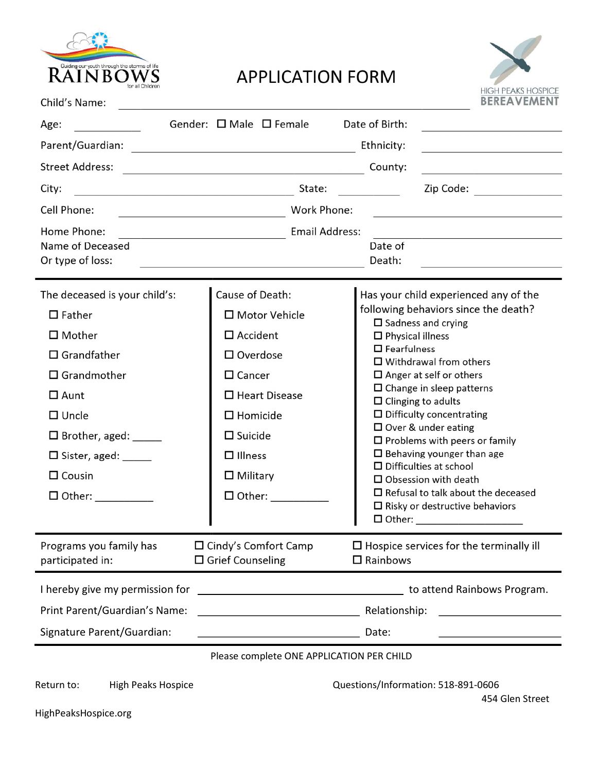

## **APPLICATION FORM**



| Child's Name:                             |                                                                                                                      |                                     | <b>BEREAVEMENT</b>                                                                                                                                                                                                                                    |  |
|-------------------------------------------|----------------------------------------------------------------------------------------------------------------------|-------------------------------------|-------------------------------------------------------------------------------------------------------------------------------------------------------------------------------------------------------------------------------------------------------|--|
| Age:                                      | Gender: □ Male □ Female                                                                                              | Date of Birth:                      |                                                                                                                                                                                                                                                       |  |
| Parent/Guardian:                          |                                                                                                                      | Ethnicity:                          | <u> 1980 - Johann Barbara, martxa alemaniar a</u>                                                                                                                                                                                                     |  |
| <b>Street Address:</b>                    | <u> 1989 - Johann Barn, mars eta bainar eta baina eta baina eta baina eta baina eta baina eta baina eta baina e</u>  | County:                             |                                                                                                                                                                                                                                                       |  |
| City:                                     | State:<br><u> 1989 - Johann Stoff, fransk politik (d. 1989)</u>                                                      |                                     | Zip Code:                                                                                                                                                                                                                                             |  |
| Cell Phone:                               | <b>Work Phone:</b><br><u> 1989 - Johann Barn, fransk politik (</u>                                                   |                                     | the control of the control of the control of the control of the control of                                                                                                                                                                            |  |
| Home Phone:                               | <b>Email Address:</b>                                                                                                |                                     | <u> 1989 - Johann Stein, marwolaethau a bhann an t-Amhair an t-Amhair an t-Amhair an t-Amhair an t-Amhair an t-A</u>                                                                                                                                  |  |
| Name of Deceased                          |                                                                                                                      | Date of                             |                                                                                                                                                                                                                                                       |  |
| Or type of loss:                          | <u> 1980 - Johann Barn, mars ann an t-Amhain Aonaich an t-Aonaich an t-Aonaich ann an t-Aonaich ann an t-Aonaich</u> | Death:                              | <u> 1989 - Johann Barbara, martxa amerikan personal (</u>                                                                                                                                                                                             |  |
| The deceased is your child's:             | Cause of Death:                                                                                                      |                                     | Has your child experienced any of the                                                                                                                                                                                                                 |  |
| $\Box$ Father                             | □ Motor Vehicle                                                                                                      |                                     | following behaviors since the death?<br>$\Box$ Sadness and crying<br>$\Box$ Physical illness<br>$\Box$ Fearfulness<br>$\Box$ Withdrawal from others<br>$\Box$ Anger at self or others<br>$\Box$ Change in sleep patterns<br>$\Box$ Clinging to adults |  |
| $\Box$ Mother                             | $\square$ Accident                                                                                                   |                                     |                                                                                                                                                                                                                                                       |  |
| $\Box$ Grandfather                        | $\Box$ Overdose                                                                                                      |                                     |                                                                                                                                                                                                                                                       |  |
| $\Box$ Grandmother                        | $\square$ Cancer                                                                                                     |                                     |                                                                                                                                                                                                                                                       |  |
| $\Box$ Aunt                               | $\Box$ Heart Disease                                                                                                 |                                     |                                                                                                                                                                                                                                                       |  |
| $\Box$ Uncle                              | $\Box$ Homicide                                                                                                      |                                     | $\Box$ Difficulty concentrating                                                                                                                                                                                                                       |  |
| $\Box$ Brother, aged: $\_\_\_\_\_\_\_\_\$ | $\square$ Suicide                                                                                                    |                                     | $\Box$ Over & under eating<br>$\Box$ Problems with peers or family<br>$\Box$ Behaving younger than age<br>$\Box$ Difficulties at school<br>$\square$ Obsession with death                                                                             |  |
|                                           | $\Box$ Illness                                                                                                       |                                     |                                                                                                                                                                                                                                                       |  |
| $\Box$ Cousin                             | $\Box$ Military                                                                                                      |                                     |                                                                                                                                                                                                                                                       |  |
|                                           | $\Box$ Other:                                                                                                        |                                     | $\Box$ Refusal to talk about the deceased                                                                                                                                                                                                             |  |
|                                           |                                                                                                                      |                                     | $\Box$ Risky or destructive behaviors<br>□ Other: ______________________                                                                                                                                                                              |  |
| Programs you family has                   | $\Box$ Cindy's Comfort Camp                                                                                          |                                     | $\Box$ Hospice services for the terminally ill                                                                                                                                                                                                        |  |
| participated in:                          | $\Box$ Grief Counseling                                                                                              | $\Box$ Rainbows                     |                                                                                                                                                                                                                                                       |  |
| I hereby give my permission for           | <u> 1980 - Johann Barbara, martin amerikan basar da</u>                                                              |                                     | to attend Rainbows Program.                                                                                                                                                                                                                           |  |
| Print Parent/Guardian's Name:             |                                                                                                                      | Relationship:                       |                                                                                                                                                                                                                                                       |  |
| Signature Parent/Guardian:                |                                                                                                                      | Date:                               |                                                                                                                                                                                                                                                       |  |
|                                           | Please complete ONE APPLICATION PER CHILD                                                                            |                                     |                                                                                                                                                                                                                                                       |  |
|                                           |                                                                                                                      |                                     |                                                                                                                                                                                                                                                       |  |
| Return to:<br><b>High Peaks Hospice</b>   |                                                                                                                      | Questions/Information: 518-891-0606 | 454 Glen Street                                                                                                                                                                                                                                       |  |

HighPeaksHospice.org